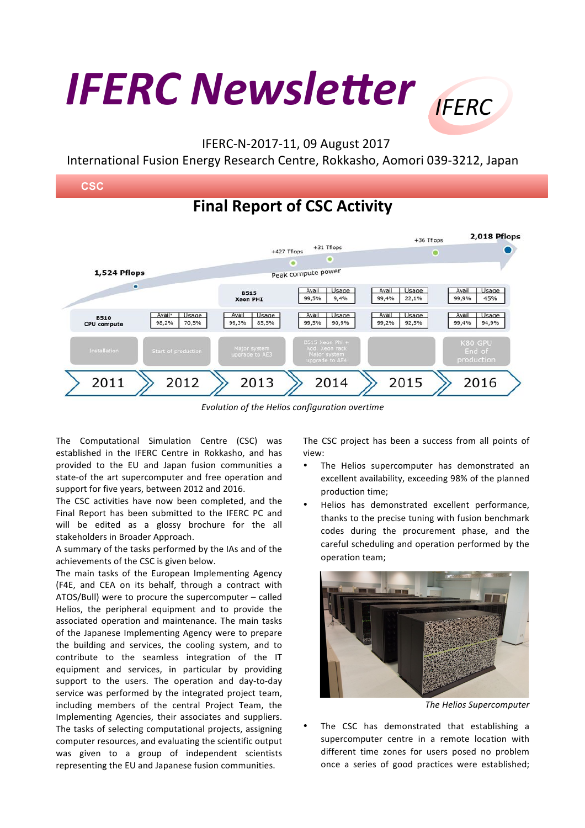## *IFERC Newsletter IFFRC*

## IFERC-N-2017-11, 09 August 2017

International Fusion Energy Research Centre, Rokkasho, Aomori 039-3212, Japan



*Evolution of the Helios configuration overtime*

The Computational Simulation Centre (CSC) was established in the IFERC Centre in Rokkasho, and has provided to the EU and Japan fusion communities a state-of the art supercomputer and free operation and support for five years, between 2012 and 2016.

The CSC activities have now been completed, and the Final Report has been submitted to the IFERC PC and will be edited as a glossy brochure for the all stakeholders in Broader Approach.

A summary of the tasks performed by the IAs and of the achievements of the CSC is given below.

The main tasks of the European Implementing Agency (F4E, and CEA on its behalf, through a contract with ATOS/Bull) were to procure the supercomputer  $-$  called Helios, the peripheral equipment and to provide the associated operation and maintenance. The main tasks of the Japanese Implementing Agency were to prepare the building and services, the cooling system, and to contribute to the seamless integration of the IT equipment and services, in particular by providing support to the users. The operation and day-to-day service was performed by the integrated project team, including members of the central Project Team, the Implementing Agencies, their associates and suppliers. The tasks of selecting computational projects, assigning computer resources, and evaluating the scientific output was given to a group of independent scientists representing the EU and Japanese fusion communities.

The CSC project has been a success from all points of view:

- The Helios supercomputer has demonstrated an excellent availability, exceeding 98% of the planned production time:
- Helios has demonstrated excellent performance, thanks to the precise tuning with fusion benchmark codes during the procurement phase, and the careful scheduling and operation performed by the operation team;



*The Helios Supercomputer*

The CSC has demonstrated that establishing a supercomputer centre in a remote location with different time zones for users posed no problem once a series of good practices were established;